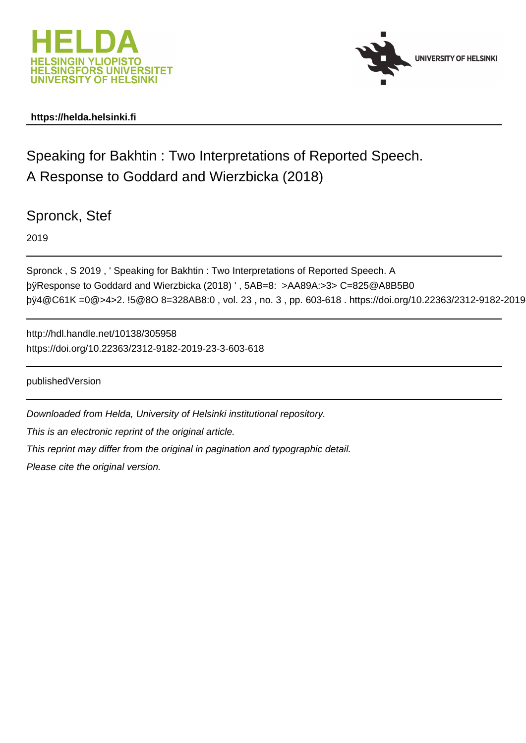



## **https://helda.helsinki.fi**

Speaking for Bakhtin : Two Interpretations of Reported Speech.

A Response to Goddard and Wierzbicka (2018)

Spronck, Stef

2019

```
Spronck , S 2019 , ' Speaking for Bakhtin : Two Interpretations of Reported Speech. A
p\ddot{y}Response to Goddard and Wierzbicka (2018) ', 5AB=8: >AA89A:>3> \theta\frac{1}{2} \frac{1}{2} \frac{1}{2} \frac{1}{2} \frac{1}{2} \frac{1}{2} \frac{1}{2} \frac{1}{2} \frac{1}{2} \frac{1}{2} \frac{1}{2} \frac{1}{2} \frac{1}{2} \frac{1}{2} \frac{1}{2} \frac{1}{2} \frac{1}{2} \frac{1}{2} \frac{1}{2} \frac{1}{2} \frac{1}{2} \frac{1}{2}
```
http://hdl.handle.net/10138/305958 https://doi.org/10.22363/2312-9182-2019-23-3-603-618

publishedVersion

Downloaded from Helda, University of Helsinki institutional repository.

This is an electronic reprint of the original article.

This reprint may differ from the original in pagination and typographic detail.

Please cite the original version.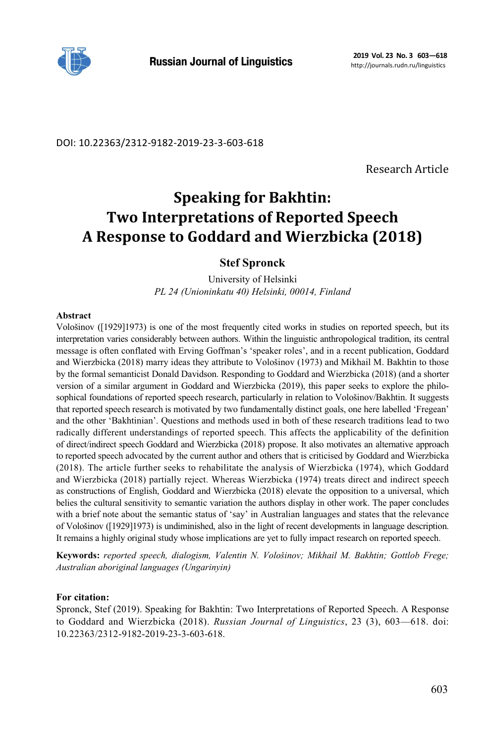

http://journals.rudn.ru/linguistics

DOI: 10.22363/2312-9182-2019-23-3-603-618

Research Article

# **Speaking for Bakhtin: Two Interpretations of Reported Speech A Response to Goddard and Wierzbicka (2018)**

### **Stef Spronck**

University of Helsinki *PL 24 (Unioninkatu 40) Helsinki, 00014, Finland* 

#### **Abstract**

Vološinov ([1929]1973) is one of the most frequently cited works in studies on reported speech, but its interpretation varies considerably between authors. Within the linguistic anthropological tradition, its central message is often conflated with Erving Goffman's 'speaker roles', and in a recent publication, Goddard and Wierzbicka (2018) marry ideas they attribute to Vološinov (1973) and Mikhail M. Bakhtin to those by the formal semanticist Donald Davidson. Responding to Goddard and Wierzbicka (2018) (and a shorter version of a similar argument in Goddard and Wierzbicka (2019), this paper seeks to explore the philosophical foundations of reported speech research, particularly in relation to Vološinov/Bakhtin. It suggests that reported speech research is motivated by two fundamentally distinct goals, one here labelled 'Fregean' and the other 'Bakhtinian'. Questions and methods used in both of these research traditions lead to two radically different understandings of reported speech. This affects the applicability of the definition of direct/indirect speech Goddard and Wierzbicka (2018) propose. It also motivates an alternative approach to reported speech advocated by the current author and others that is criticised by Goddard and Wierzbicka (2018). The article further seeks to rehabilitate the analysis of Wierzbicka (1974), which Goddard and Wierzbicka (2018) partially reject. Whereas Wierzbicka (1974) treats direct and indirect speech as constructions of English, Goddard and Wierzbicka (2018) elevate the opposition to a universal, which belies the cultural sensitivity to semantic variation the authors display in other work. The paper concludes with a brief note about the semantic status of 'say' in Australian languages and states that the relevance of Vološinov ([1929]1973) is undiminished, also in the light of recent developments in language description. It remains a highly original study whose implications are yet to fully impact research on reported speech.

**Keywords:** *reported speech, dialogism, Valentin N. Vološinov; Mikhail M. Bakhtin; Gottlob Frege; Australian aboriginal languages (Ungarinyin)*

### **For citation:**

Spronck, Stef (2019). Speaking for Bakhtin: Two Interpretations of Reported Speech. A Response to Goddard and Wierzbicka (2018). *Russian Journal of Linguistics*, 23 (3), 603—618. doi: 10.22363/2312-9182-2019-23-3-603-618.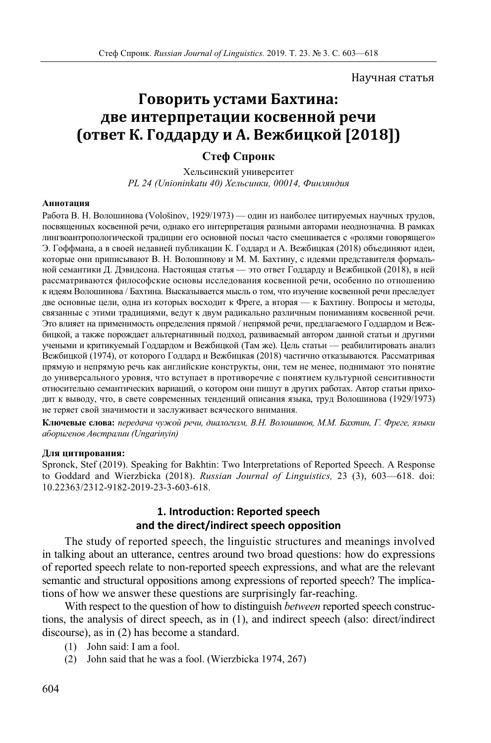Научная статья

# **Говорить устами Бахтина: две интерпретации косвенной речи (ответ К. Годдарду и А. Вежбицкой [2018])**

# **Стеф Спронк**

Хельсинский университет *PL 24 (Unioninkatu 40) Хельсинки, 00014, Финляндия* 

#### **Аннотация**

Работа В. Н. Волошинова (Vološinov, 1929/1973) — один из наиболее цитируемых научных трудов, посвященных косвенной речи, однако его интерпретация разными авторами неоднозначна. В рамках лингвоантропологической традиции его основной посыл часто смешивается с «ролями говорящего» Э. Гоффмана, а в своей недавней публикации К. Годдард и А. Вежбицкая (2018) объединяют идеи, которые они приписывают В. Н. Волошинову и М. М. Бахтину, с идеями представителя формальной семантики Д. Дэвидсона. Настоящая статья — это ответ Годдарду и Вежбицкой (2018), в ней рассматриваются философские основы исследования косвенной речи, особенно по отношению к идеям Волошинова / Бахтина. Высказывается мысль о том, что изучение косвенной речи преследует две основные цели, одна из которых восходит к Фреге, а вторая — к Бахтину. Вопросы и методы, связанные с этими традициями, ведут к двум радикально различным пониманиям косвенной речи. Это влияет на применимость определения прямой / непрямой речи, предлагаемого Годдардом и Вежбицкой, а также порождает альтернативный подход, развиваемый автором данной статьи и другими учеными и критикуемый Годдардом и Вежбицкой (Там же). Цель статьи — реабилитировать анализ Вежбицкой (1974), от которого Годдард и Вежбицкая (2018) частично отказываются. Рассматривая прямую и непрямую речь как английские конструкты, они, тем не менее, поднимают это понятие до универсального уровня, что вступает в противоречие с понятием культурной сенситивности относительно семантических вариаций, о котором они пишут в других работах. Автор статьи приходит к выводу, что, в свете современных тенденций описания языка, труд Волошинова (1929/1973) не теряет свой значимости и заслуживает всяческого внимания.

**Ключевые слова:** *передача чужой речи, диалогизм, В.Н. Волошинов, М.М. Бахтин, Г. Фреге, языки аборигенов Австралии (Ungarinyin)* 

#### **Для цитирования:**

Spronck, Stef (2019). Speaking for Bakhtin: Two Interpretations of Reported Speech. A Response to Goddard and Wierzbicka (2018). *Russian Journal of Linguistics,* 23 (3), 603—618. doi: 10.22363/2312-9182-2019-23-3-603-618.

### **1. Introduction: Reported speech and the direct/indirect speech opposition**

The study of reported speech, the linguistic structures and meanings involved in talking about an utterance, centres around two broad questions: how do expressions of reported speech relate to non-reported speech expressions, and what are the relevant semantic and structural oppositions among expressions of reported speech? The implications of how we answer these questions are surprisingly far-reaching.

With respect to the question of how to distinguish *between* reported speech constructions, the analysis of direct speech, as in (1), and indirect speech (also: direct/indirect discourse), as in (2) has become a standard.

- (1) John said: I am a fool.
- (2) John said that he was a fool. (Wierzbicka 1974, 267)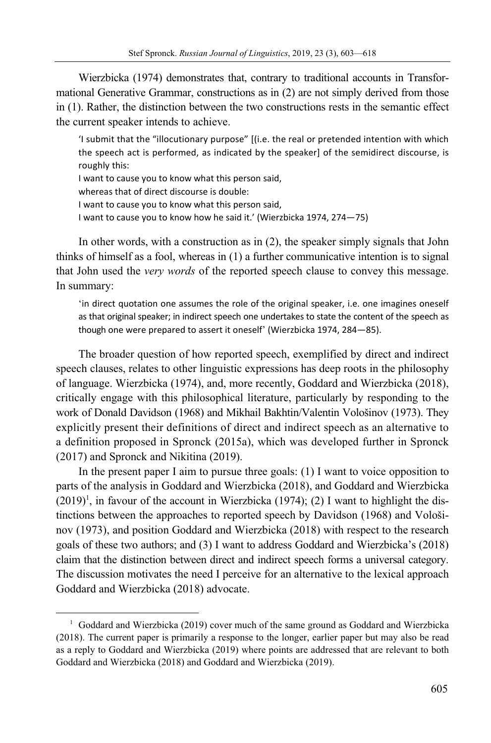Wierzbicka (1974) demonstrates that, contrary to traditional accounts in Transformational Generative Grammar, constructions as in (2) are not simply derived from those in (1). Rather, the distinction between the two constructions rests in the semantic effect the current speaker intends to achieve.

'I submit that the "illocutionary purpose" [(i.e. the real or pretended intention with which the speech act is performed, as indicated by the speaker] of the semidirect discourse, is roughly this: I want to cause you to know what this person said, whereas that of direct discourse is double: I want to cause you to know what this person said, I want to cause you to know how he said it.' (Wierzbicka 1974, 274—75)

In other words, with a construction as in (2), the speaker simply signals that John thinks of himself as a fool, whereas in (1) a further communicative intention is to signal that John used the *very words* of the reported speech clause to convey this message. In summary:

'in direct quotation one assumes the role of the original speaker, i.e. one imagines oneself as that original speaker; in indirect speech one undertakes to state the content of the speech as though one were prepared to assert it oneself' (Wierzbicka 1974, 284—85).

The broader question of how reported speech, exemplified by direct and indirect speech clauses, relates to other linguistic expressions has deep roots in the philosophy of language. Wierzbicka (1974), and, more recently, Goddard and Wierzbicka (2018), critically engage with this philosophical literature, particularly by responding to the work of Donald Davidson (1968) and Mikhail Bakhtin/Valentin Vološinov (1973). They explicitly present their definitions of direct and indirect speech as an alternative to a definition proposed in Spronck (2015a), which was developed further in Spronck (2017) and Spronck and Nikitina (2019).

In the present paper I aim to pursue three goals: (1) I want to voice opposition to parts of the analysis in Goddard and Wierzbicka (2018), and Goddard and Wierzbicka  $(2019)^1$ , in favour of the account in Wierzbicka (1974); (2) I want to highlight the distinctions between the approaches to reported speech by Davidson (1968) and Vološinov (1973), and position Goddard and Wierzbicka (2018) with respect to the research goals of these two authors; and (3) I want to address Goddard and Wierzbicka's (2018) claim that the distinction between direct and indirect speech forms a universal category. The discussion motivates the need I perceive for an alternative to the lexical approach Goddard and Wierzbicka (2018) advocate.

<sup>&</sup>lt;sup>1</sup> Goddard and Wierzbicka (2019) cover much of the same ground as Goddard and Wierzbicka (2018). The current paper is primarily a response to the longer, earlier paper but may also be read as a reply to Goddard and Wierzbicka (2019) where points are addressed that are relevant to both Goddard and Wierzbicka (2018) and Goddard and Wierzbicka (2019).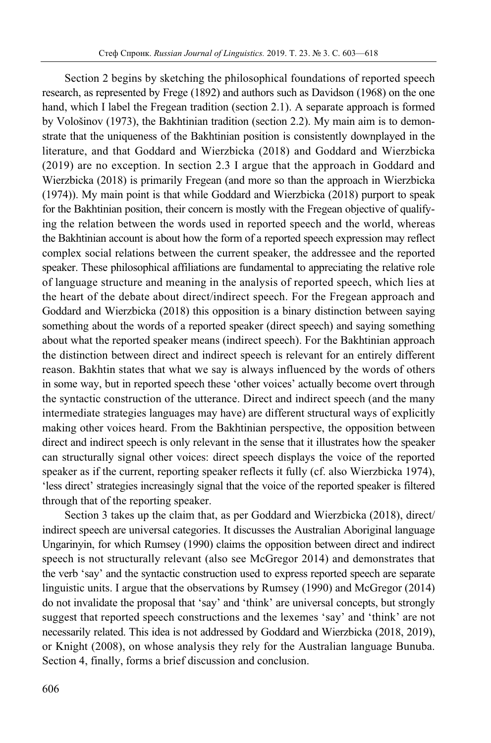Section 2 begins by sketching the philosophical foundations of reported speech research, as represented by Frege (1892) and authors such as Davidson (1968) on the one hand, which I label the Fregean tradition (section 2.1). A separate approach is formed by Vološinov (1973), the Bakhtinian tradition (section 2.2). My main aim is to demonstrate that the uniqueness of the Bakhtinian position is consistently downplayed in the literature, and that Goddard and Wierzbicka (2018) and Goddard and Wierzbicka (2019) are no exception. In section 2.3 I argue that the approach in Goddard and Wierzbicka (2018) is primarily Fregean (and more so than the approach in Wierzbicka (1974)). My main point is that while Goddard and Wierzbicka (2018) purport to speak for the Bakhtinian position, their concern is mostly with the Fregean objective of qualifying the relation between the words used in reported speech and the world, whereas the Bakhtinian account is about how the form of a reported speech expression may reflect complex social relations between the current speaker, the addressee and the reported speaker. These philosophical affiliations are fundamental to appreciating the relative role of language structure and meaning in the analysis of reported speech, which lies at the heart of the debate about direct/indirect speech. For the Fregean approach and Goddard and Wierzbicka (2018) this opposition is a binary distinction between saying something about the words of a reported speaker (direct speech) and saying something about what the reported speaker means (indirect speech). For the Bakhtinian approach the distinction between direct and indirect speech is relevant for an entirely different reason. Bakhtin states that what we say is always influenced by the words of others in some way, but in reported speech these 'other voices' actually become overt through the syntactic construction of the utterance. Direct and indirect speech (and the many intermediate strategies languages may have) are different structural ways of explicitly making other voices heard. From the Bakhtinian perspective, the opposition between direct and indirect speech is only relevant in the sense that it illustrates how the speaker can structurally signal other voices: direct speech displays the voice of the reported speaker as if the current, reporting speaker reflects it fully (cf. also Wierzbicka 1974), 'less direct' strategies increasingly signal that the voice of the reported speaker is filtered through that of the reporting speaker.

Section 3 takes up the claim that, as per Goddard and Wierzbicka (2018), direct/ indirect speech are universal categories. It discusses the Australian Aboriginal language Ungarinyin, for which Rumsey (1990) claims the opposition between direct and indirect speech is not structurally relevant (also see McGregor 2014) and demonstrates that the verb 'say' and the syntactic construction used to express reported speech are separate linguistic units. I argue that the observations by Rumsey (1990) and McGregor (2014) do not invalidate the proposal that 'say' and 'think' are universal concepts, but strongly suggest that reported speech constructions and the lexemes 'say' and 'think' are not necessarily related. This idea is not addressed by Goddard and Wierzbicka (2018, 2019), or Knight (2008), on whose analysis they rely for the Australian language Bunuba. Section 4, finally, forms a brief discussion and conclusion.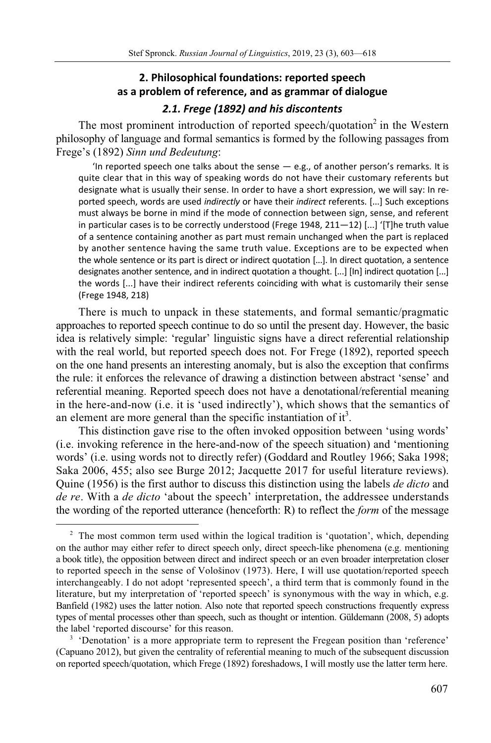## **2. Philosophical foundations: reported speech as a problem of reference, and as grammar of dialogue**  *2.1. Frege (1892) and his discontents*

The most prominent introduction of reported speech/quotation<sup>2</sup> in the Western philosophy of language and formal semantics is formed by the following passages from Frege's (1892) *Sinn und Bedeutung*:

'In reported speech one talks about the sense  $-$  e.g., of another person's remarks. It is quite clear that in this way of speaking words do not have their customary referents but designate what is usually their sense. In order to have a short expression, we will say: In reported speech, words are used *indirectly* or have their *indirect* referents. [...] Such exceptions must always be borne in mind if the mode of connection between sign, sense, and referent in particular cases is to be correctly understood (Frege 1948, 211 $-12$ ) [...] '[T]he truth value of a sentence containing another as part must remain unchanged when the part is replaced by another sentence having the same truth value. Exceptions are to be expected when the whole sentence or its part is direct or indirect quotation [...]. In direct quotation, a sentence designates another sentence, and in indirect quotation a thought. [...] [In] indirect quotation [...] the words [...] have their indirect referents coinciding with what is customarily their sense (Frege 1948, 218)

There is much to unpack in these statements, and formal semantic/pragmatic approaches to reported speech continue to do so until the present day. However, the basic idea is relatively simple: 'regular' linguistic signs have a direct referential relationship with the real world, but reported speech does not. For Frege (1892), reported speech on the one hand presents an interesting anomaly, but is also the exception that confirms the rule: it enforces the relevance of drawing a distinction between abstract 'sense' and referential meaning. Reported speech does not have a denotational/referential meaning in the here-and-now (i.e. it is 'used indirectly'), which shows that the semantics of an element are more general than the specific instantiation of  $it<sup>3</sup>$ .

This distinction gave rise to the often invoked opposition between 'using words' (i.e. invoking reference in the here-and-now of the speech situation) and 'mentioning words' (i.e. using words not to directly refer) (Goddard and Routley 1966; Saka 1998; Saka 2006, 455; also see Burge 2012; Jacquette 2017 for useful literature reviews). Quine (1956) is the first author to discuss this distinction using the labels *de dicto* and *de re*. With a *de dicto* 'about the speech' interpretation, the addressee understands the wording of the reported utterance (henceforth: R) to reflect the *form* of the message

<sup>&</sup>lt;sup>2</sup> The most common term used within the logical tradition is 'quotation', which, depending on the author may either refer to direct speech only, direct speech-like phenomena (e.g. mentioning a book title), the opposition between direct and indirect speech or an even broader interpretation closer to reported speech in the sense of Vološinov (1973). Here, I will use quotation/reported speech interchangeably. I do not adopt 'represented speech', a third term that is commonly found in the literature, but my interpretation of 'reported speech' is synonymous with the way in which, e.g. Banfield (1982) uses the latter notion. Also note that reported speech constructions frequently express types of mental processes other than speech, such as thought or intention. Güldemann (2008, 5) adopts the label 'reported discourse' for this reason.

<sup>&</sup>lt;sup>3</sup> 'Denotation' is a more appropriate term to represent the Fregean position than 'reference' (Capuano 2012), but given the centrality of referential meaning to much of the subsequent discussion on reported speech/quotation, which Frege (1892) foreshadows, I will mostly use the latter term here.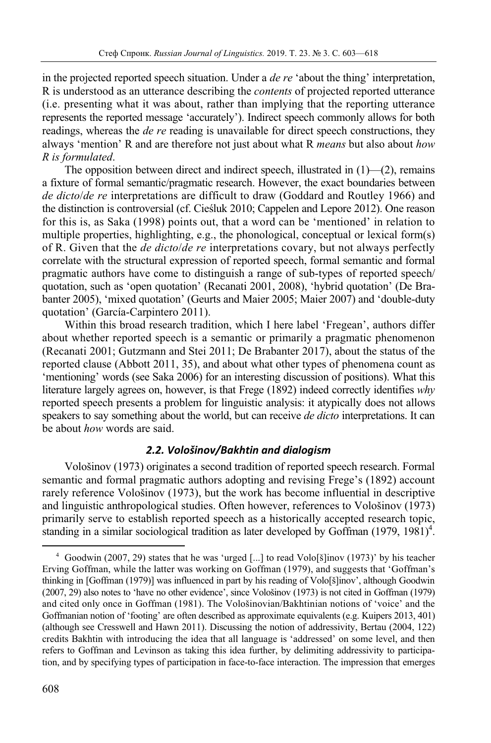in the projected reported speech situation. Under a *de re* 'about the thing' interpretation, R is understood as an utterance describing the *contents* of projected reported utterance (i.e. presenting what it was about, rather than implying that the reporting utterance represents the reported message 'accurately'). Indirect speech commonly allows for both readings, whereas the *de re* reading is unavailable for direct speech constructions, they always 'mention' R and are therefore not just about what R *means* but also about *how R is formulated*.

The opposition between direct and indirect speech, illustrated in  $(1)$ — $(2)$ , remains a fixture of formal semantic/pragmatic research. However, the exact boundaries between *de dicto*/*de re* interpretations are difficult to draw (Goddard and Routley 1966) and the distinction is controversial (cf. Cieśluk 2010; Cappelen and Lepore 2012). One reason for this is, as Saka (1998) points out, that a word can be 'mentioned' in relation to multiple properties, highlighting, e.g., the phonological, conceptual or lexical form(s) of R. Given that the *de dicto*/*de re* interpretations covary, but not always perfectly correlate with the structural expression of reported speech, formal semantic and formal pragmatic authors have come to distinguish a range of sub-types of reported speech/ quotation, such as 'open quotation' (Recanati 2001, 2008), 'hybrid quotation' (De Brabanter 2005), 'mixed quotation' (Geurts and Maier 2005; Maier 2007) and 'double-duty quotation' (García-Carpintero 2011).

Within this broad research tradition, which I here label 'Fregean', authors differ about whether reported speech is a semantic or primarily a pragmatic phenomenon (Recanati 2001; Gutzmann and Stei 2011; De Brabanter 2017), about the status of the reported clause (Abbott 2011, 35), and about what other types of phenomena count as 'mentioning' words (see Saka 2006) for an interesting discussion of positions). What this literature largely agrees on, however, is that Frege (1892) indeed correctly identifies *why* reported speech presents a problem for linguistic analysis: it atypically does not allows speakers to say something about the world, but can receive *de dicto* interpretations. It can be about *how* words are said.

### *2.2. Vološinov/Bakhtin and dialogism*

Vološinov (1973) originates a second tradition of reported speech research. Formal semantic and formal pragmatic authors adopting and revising Frege's (1892) account rarely reference Vološinov (1973), but the work has become influential in descriptive and linguistic anthropological studies. Often however, references to Vološinov (1973) primarily serve to establish reported speech as a historically accepted research topic, standing in a similar sociological tradition as later developed by Goffman  $(1979, 1981)^4$ .

<sup>4</sup> Goodwin (2007, 29) states that he was 'urged [...] to read Volo[š]inov (1973)' by his teacher Erving Goffman, while the latter was working on Goffman (1979), and suggests that 'Goffman's thinking in [Goffman (1979)] was influenced in part by his reading of Volo[š]inov', although Goodwin (2007, 29) also notes to 'have no other evidence', since Vološinov (1973) is not cited in Goffman (1979) and cited only once in Goffman (1981). The Vološinovian/Bakhtinian notions of 'voice' and the Goffmanian notion of 'footing' are often described as approximate equivalents (e.g. Kuipers 2013, 401) (although see Cresswell and Hawn 2011). Discussing the notion of addressivity, Bertau (2004, 122) credits Bakhtin with introducing the idea that all language is 'addressed' on some level, and then refers to Goffman and Levinson as taking this idea further, by delimiting addressivity to participation, and by specifying types of participation in face-to-face interaction. The impression that emerges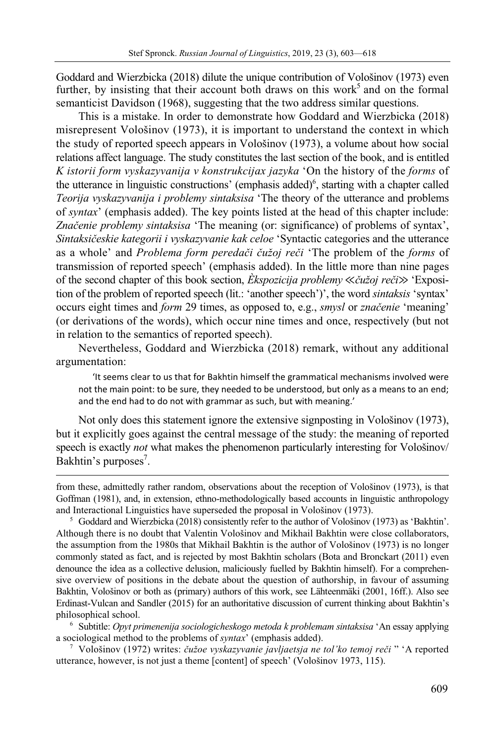Goddard and Wierzbicka (2018) dilute the unique contribution of Vološinov (1973) even further, by insisting that their account both draws on this work<sup>5</sup> and on the formal semanticist Davidson (1968), suggesting that the two address similar questions.

This is a mistake. In order to demonstrate how Goddard and Wierzbicka (2018) misrepresent Vološinov (1973), it is important to understand the context in which the study of reported speech appears in Vološinov (1973), a volume about how social relations affect language. The study constitutes the last section of the book, and is entitled *K istorii form vyskazyvanija v konstrukcijax jazyka* 'On the history of the *forms* of the utterance in linguistic constructions' (emphasis added)<sup>6</sup>, starting with a chapter called *Teorija vyskazyvanija i problemy sintaksisa* 'The theory of the utterance and problems of *syntax*' (emphasis added). The key points listed at the head of this chapter include: *Značenie problemy sintaksisa* 'The meaning (or: significance) of problems of syntax', *Sintaksičeskie kategorii i vyskazyvanie kak celoe* 'Syntactic categories and the utterance as a whole' and *Problema form peredači čužoj reči* 'The problem of the *forms* of transmission of reported speech' (emphasis added). In the little more than nine pages of the second chapter of this book section, *Èkspozicija problemy* ≪*čužoj reči*≫ 'Exposition of the problem of reported speech (lit.: 'another speech')', the word *sintaksis* 'syntax' occurs eight times and *form* 29 times, as opposed to, e.g., *smysl* or *značenie* 'meaning' (or derivations of the words), which occur nine times and once, respectively (but not in relation to the semantics of reported speech).

Nevertheless, Goddard and Wierzbicka (2018) remark, without any additional argumentation:

'It seems clear to us that for Bakhtin himself the grammatical mechanisms involved were not the main point: to be sure, they needed to be understood, but only as a means to an end; and the end had to do not with grammar as such, but with meaning.'

Not only does this statement ignore the extensive signposting in Vološinov (1973), but it explicitly goes against the central message of the study: the meaning of reported speech is exactly *not* what makes the phenomenon particularly interesting for Vološinov/ Bakhtin's purposes<sup>7</sup>.

from these, admittedly rather random, observations about the reception of Vološinov (1973), is that Goffman (1981), and, in extension, ethno-methodologically based accounts in linguistic anthropology and Interactional Linguistics have superseded the proposal in Volo<sup>š</sup>inov (1973). 5

 $\overline{a}$ 

<sup>5</sup> Goddard and Wierzbicka (2018) consistently refer to the author of Vološinov (1973) as 'Bakhtin'. Although there is no doubt that Valentin Vološinov and Mikhail Bakhtin were close collaborators, the assumption from the 1980s that Mikhail Bakhtin is the author of Vološinov (1973) is no longer commonly stated as fact, and is rejected by most Bakhtin scholars (Bota and Bronckart (2011) even denounce the idea as a collective delusion, maliciously fuelled by Bakhtin himself). For a comprehensive overview of positions in the debate about the question of authorship, in favour of assuming Bakhtin, Vološinov or both as (primary) authors of this work, see Lähteenmäki (2001, 16ff.). Also see Erdinast-Vulcan and Sandler (2015) for an authoritative discussion of current thinking about Bakhtin's philosophical school. 6

 Subtitle: *Opyt primenenija sociologicheskogo metoda k problemam sintaksisa* 'An essay applying a sociological method to the problems of *syntax*' (emphasis added). 7

 Vološinov (1972) writes: *čužoe vyskazyvanie javljaetsja ne tol'ko temoj reči* " 'A reported utterance, however, is not just a theme [content] of speech' (Vološinov 1973, 115).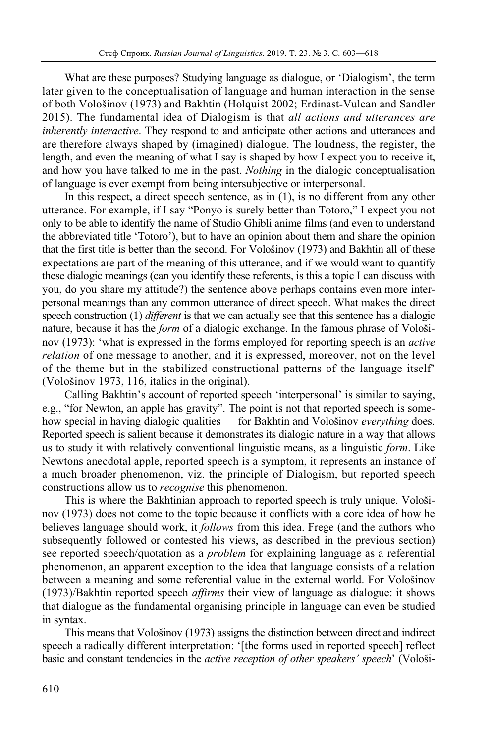What are these purposes? Studying language as dialogue, or 'Dialogism', the term later given to the conceptualisation of language and human interaction in the sense of both Vološinov (1973) and Bakhtin (Holquist 2002; Erdinast-Vulcan and Sandler 2015). The fundamental idea of Dialogism is that *all actions and utterances are inherently interactive*. They respond to and anticipate other actions and utterances and are therefore always shaped by (imagined) dialogue. The loudness, the register, the length, and even the meaning of what I say is shaped by how I expect you to receive it, and how you have talked to me in the past. *Nothing* in the dialogic conceptualisation of language is ever exempt from being intersubjective or interpersonal.

In this respect, a direct speech sentence, as in (1), is no different from any other utterance. For example, if I say "Ponyo is surely better than Totoro," I expect you not only to be able to identify the name of Studio Ghibli anime films (and even to understand the abbreviated title 'Totoro'), but to have an opinion about them and share the opinion that the first title is better than the second. For Vološinov (1973) and Bakhtin all of these expectations are part of the meaning of this utterance, and if we would want to quantify these dialogic meanings (can you identify these referents, is this a topic I can discuss with you, do you share my attitude?) the sentence above perhaps contains even more interpersonal meanings than any common utterance of direct speech. What makes the direct speech construction (1) *different* is that we can actually see that this sentence has a dialogic nature, because it has the *form* of a dialogic exchange. In the famous phrase of Vološinov (1973): 'what is expressed in the forms employed for reporting speech is an *active relation* of one message to another, and it is expressed, moreover, not on the level of the theme but in the stabilized constructional patterns of the language itself' (Vološinov 1973, 116, italics in the original).

Calling Bakhtin's account of reported speech 'interpersonal' is similar to saying, e.g., "for Newton, an apple has gravity". The point is not that reported speech is somehow special in having dialogic qualities — for Bakhtin and Vološinov *everything* does. Reported speech is salient because it demonstrates its dialogic nature in a way that allows us to study it with relatively conventional linguistic means, as a linguistic *form*. Like Newtons anecdotal apple, reported speech is a symptom, it represents an instance of a much broader phenomenon, viz. the principle of Dialogism, but reported speech constructions allow us to *recognise* this phenomenon.

This is where the Bakhtinian approach to reported speech is truly unique. Vološinov (1973) does not come to the topic because it conflicts with a core idea of how he believes language should work, it *follows* from this idea. Frege (and the authors who subsequently followed or contested his views, as described in the previous section) see reported speech/quotation as a *problem* for explaining language as a referential phenomenon, an apparent exception to the idea that language consists of a relation between a meaning and some referential value in the external world. For Vološinov (1973)/Bakhtin reported speech *affirms* their view of language as dialogue: it shows that dialogue as the fundamental organising principle in language can even be studied in syntax.

This means that Vološinov (1973) assigns the distinction between direct and indirect speech a radically different interpretation: '[the forms used in reported speech] reflect basic and constant tendencies in the *active reception of other speakers' speech*' (Vološi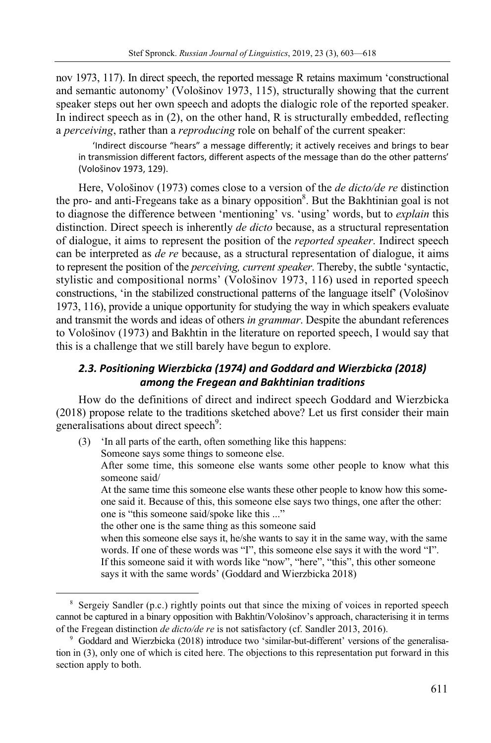nov 1973, 117). In direct speech, the reported message R retains maximum 'constructional and semantic autonomy' (Vološinov 1973, 115), structurally showing that the current speaker steps out her own speech and adopts the dialogic role of the reported speaker. In indirect speech as in  $(2)$ , on the other hand, R is structurally embedded, reflecting a *perceiving*, rather than a *reproducing* role on behalf of the current speaker:

'Indirect discourse "hears" a message differently; it actively receives and brings to bear in transmission different factors, different aspects of the message than do the other patterns' (Vološinov 1973, 129).

Here, Vološinov (1973) comes close to a version of the *de dicto/de re* distinction the pro- and anti-Fregeans take as a binary opposition<sup>8</sup>. But the Bakhtinian goal is not to diagnose the difference between 'mentioning' vs. 'using' words, but to *explain* this distinction. Direct speech is inherently *de dicto* because, as a structural representation of dialogue, it aims to represent the position of the *reported speaker*. Indirect speech can be interpreted as *de re* because, as a structural representation of dialogue, it aims to represent the position of the *perceiving, current speaker*. Thereby, the subtle 'syntactic, stylistic and compositional norms' (Vološinov 1973, 116) used in reported speech constructions, 'in the stabilized constructional patterns of the language itself' (Vološinov 1973, 116), provide a unique opportunity for studying the way in which speakers evaluate and transmit the words and ideas of others *in grammar*. Despite the abundant references to Vološinov (1973) and Bakhtin in the literature on reported speech, I would say that this is a challenge that we still barely have begun to explore.

### *2.3. Positioning Wierzbicka (1974) and Goddard and Wierzbicka (2018) among the Fregean and Bakhtinian traditions*

How do the definitions of direct and indirect speech Goddard and Wierzbicka (2018) propose relate to the traditions sketched above? Let us first consider their main generalisations about direct speech<sup>9</sup>:

- (3) 'In all parts of the earth, often something like this happens:
	- Someone says some things to someone else.

 $\overline{a}$ 

 After some time, this someone else wants some other people to know what this someone said/

 At the same time this someone else wants these other people to know how this someone said it. Because of this, this someone else says two things, one after the other: one is "this someone said/spoke like this ..."

the other one is the same thing as this someone said

when this someone else says it, he/she wants to say it in the same way, with the same words. If one of these words was "I", this someone else says it with the word "I". If this someone said it with words like "now", "here", "this", this other someone says it with the same words' (Goddard and Wierzbicka 2018)

<sup>&</sup>lt;sup>8</sup> Sergeiy Sandler (p.c.) rightly points out that since the mixing of voices in reported speech cannot be captured in a binary opposition with Bakhtin/Vološinov's approach, characterising it in terms of the Fregean distinction *de dicto/de re* is not satisfactory (cf. Sandler 2013, 2016).

Goddard and Wierzbicka (2018) introduce two 'similar-but-different' versions of the generalisation in (3), only one of which is cited here. The objections to this representation put forward in this section apply to both.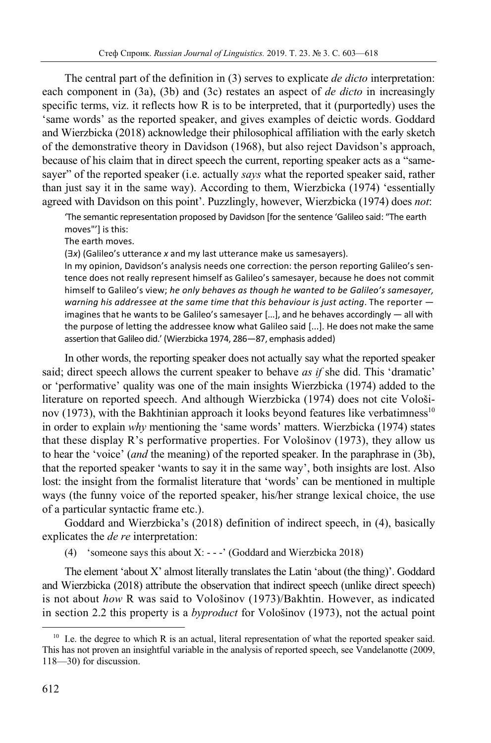The central part of the definition in (3) serves to explicate *de dicto* interpretation: each component in (3a), (3b) and (3c) restates an aspect of *de dicto* in increasingly specific terms, viz. it reflects how R is to be interpreted, that it (purportedly) uses the 'same words' as the reported speaker, and gives examples of deictic words. Goddard and Wierzbicka (2018) acknowledge their philosophical affiliation with the early sketch of the demonstrative theory in Davidson (1968), but also reject Davidson's approach, because of his claim that in direct speech the current, reporting speaker acts as a "samesayer" of the reported speaker (i.e. actually *says* what the reported speaker said, rather than just say it in the same way). According to them, Wierzbicka (1974) 'essentially agreed with Davidson on this point'. Puzzlingly, however, Wierzbicka (1974) does *not*:

'The semantic representation proposed by Davidson [for the sentence 'Galileo said: "The earth moves"'] is this:

The earth moves.

(∃*x*) (Galileo's utterance *x* and my last utterance make us samesayers).

In my opinion, Davidson's analysis needs one correction: the person reporting Galileo's sentence does not really represent himself as Galileo's samesayer, because he does not commit himself to Galileo's view; *he only behaves as though he wanted to be Galileo's samesayer, warning his addressee at the same time that this behaviour is just acting*. The reporter imagines that he wants to be Galileo's samesayer [...], and he behaves accordingly — all with the purpose of letting the addressee know what Galileo said [...]. He does not make the same assertion that Galileo did.' (Wierzbicka 1974, 286—87, emphasis added)

In other words, the reporting speaker does not actually say what the reported speaker said; direct speech allows the current speaker to behave *as if* she did. This 'dramatic' or 'performative' quality was one of the main insights Wierzbicka (1974) added to the literature on reported speech. And although Wierzbicka (1974) does not cite Vološinov (1973), with the Bakhtinian approach it looks beyond features like verbatimness<sup>10</sup> in order to explain *why* mentioning the 'same words' matters. Wierzbicka (1974) states that these display R's performative properties. For Vološinov (1973), they allow us to hear the 'voice' (*and* the meaning) of the reported speaker. In the paraphrase in (3b), that the reported speaker 'wants to say it in the same way', both insights are lost. Also lost: the insight from the formalist literature that 'words' can be mentioned in multiple ways (the funny voice of the reported speaker, his/her strange lexical choice, the use of a particular syntactic frame etc.).

Goddard and Wierzbicka's (2018) definition of indirect speech, in (4), basically explicates the *de re* interpretation:

(4) 'someone says this about X: - - -' (Goddard and Wierzbicka 2018)

The element 'about X' almost literally translates the Latin 'about (the thing)'. Goddard and Wierzbicka (2018) attribute the observation that indirect speech (unlike direct speech) is not about *how* R was said to Vološinov (1973)/Bakhtin. However, as indicated in section 2.2 this property is a *byproduct* for Vološinov (1973), not the actual point

 $10$  I.e. the degree to which R is an actual, literal representation of what the reported speaker said. This has not proven an insightful variable in the analysis of reported speech, see Vandelanotte (2009, 118—30) for discussion.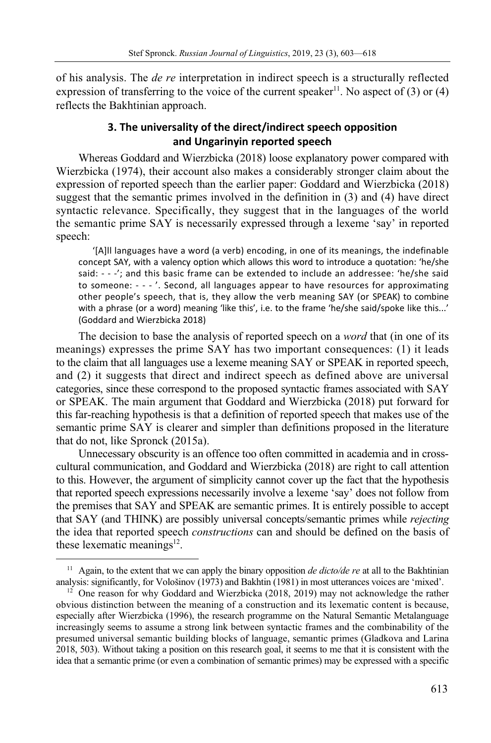of his analysis. The *de re* interpretation in indirect speech is a structurally reflected expression of transferring to the voice of the current speaker<sup>11</sup>. No aspect of (3) or (4) reflects the Bakhtinian approach.

### **3. The universality of the direct/indirect speech opposition and Ungarinyin reported speech**

Whereas Goddard and Wierzbicka (2018) loose explanatory power compared with Wierzbicka (1974), their account also makes a considerably stronger claim about the expression of reported speech than the earlier paper: Goddard and Wierzbicka (2018) suggest that the semantic primes involved in the definition in (3) and (4) have direct syntactic relevance. Specifically, they suggest that in the languages of the world the semantic prime SAY is necessarily expressed through a lexeme 'say' in reported speech:

'[A]ll languages have a word (a verb) encoding, in one of its meanings, the indefinable concept SAY, with a valency option which allows this word to introduce a quotation: 'he/she said: - - -'; and this basic frame can be extended to include an addressee: 'he/she said to someone: - - - '. Second, all languages appear to have resources for approximating other people's speech, that is, they allow the verb meaning SAY (or SPEAK) to combine with a phrase (or a word) meaning 'like this', i.e. to the frame 'he/she said/spoke like this...' (Goddard and Wierzbicka 2018)

The decision to base the analysis of reported speech on a *word* that (in one of its meanings) expresses the prime SAY has two important consequences: (1) it leads to the claim that all languages use a lexeme meaning SAY or SPEAK in reported speech, and (2) it suggests that direct and indirect speech as defined above are universal categories, since these correspond to the proposed syntactic frames associated with SAY or SPEAK. The main argument that Goddard and Wierzbicka (2018) put forward for this far-reaching hypothesis is that a definition of reported speech that makes use of the semantic prime SAY is clearer and simpler than definitions proposed in the literature that do not, like Spronck (2015a).

Unnecessary obscurity is an offence too often committed in academia and in crosscultural communication, and Goddard and Wierzbicka (2018) are right to call attention to this. However, the argument of simplicity cannot cover up the fact that the hypothesis that reported speech expressions necessarily involve a lexeme 'say' does not follow from the premises that SAY and SPEAK are semantic primes. It is entirely possible to accept that SAY (and THINK) are possibly universal concepts/semantic primes while *rejecting* the idea that reported speech *constructions* can and should be defined on the basis of these lexematic meanings $12$ .

<sup>&</sup>lt;sup>11</sup> Again, to the extent that we can apply the binary opposition *de dicto/de re* at all to the Bakhtinian analysis: significantly, for Vološinov (1973) and Bakhtin (1981) in most utterances voices are 'mixed'.

<sup>&</sup>lt;sup>12</sup> One reason for why Goddard and Wierzbicka (2018, 2019) may not acknowledge the rather obvious distinction between the meaning of a construction and its lexematic content is because, especially after Wierzbicka (1996), the research programme on the Natural Semantic Metalanguage increasingly seems to assume a strong link between syntactic frames and the combinability of the presumed universal semantic building blocks of language, semantic primes (Gladkova and Larina 2018, 503). Without taking a position on this research goal, it seems to me that it is consistent with the idea that a semantic prime (or even a combination of semantic primes) may be expressed with a specific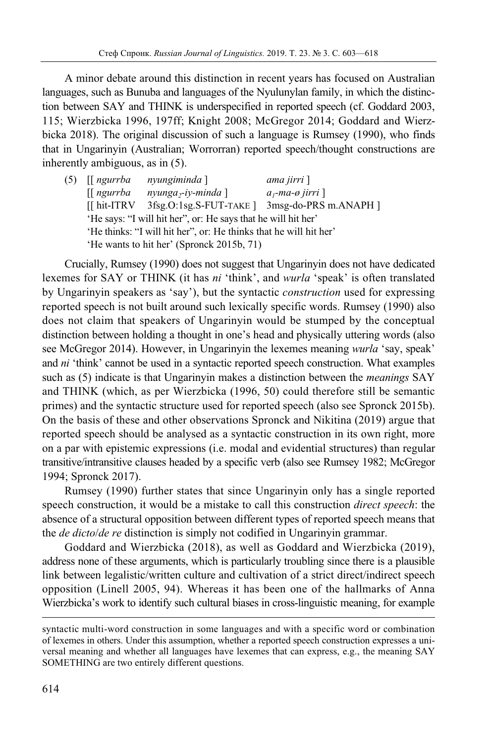A minor debate around this distinction in recent years has focused on Australian languages, such as Bunuba and languages of the Nyulunylan family, in which the distinction between SAY and THINK is underspecified in reported speech (cf. Goddard 2003, 115; Wierzbicka 1996, 197ff; Knight 2008; McGregor 2014; Goddard and Wierzbicka 2018). The original discussion of such a language is Rumsey (1990), who finds that in Ungarinyin (Australian; Worrorran) reported speech/thought constructions are inherently ambiguous, as in (5).

|  | $(5)$ [[ngurrba]                                                                                                                                                                | nyungiminda]             | ama jirri ]           |
|--|---------------------------------------------------------------------------------------------------------------------------------------------------------------------------------|--------------------------|-----------------------|
|  | $\left[\right]$ ngurrba                                                                                                                                                         | $nyunga2-iy-minda$ ]     | $al$ -ma-ø jirri]     |
|  | [[ hit-ITRV                                                                                                                                                                     | $3fg.O:1sg.S-FUT-TAKE$ ] | 3msg-do-PRS m.ANAPH ] |
|  | 'He says: "I will hit her", or: He says that he will hit her'<br>'He thinks: "I will hit her", or: He thinks that he will hit her'<br>'He wants to hit her' (Spronck 2015b, 71) |                          |                       |
|  |                                                                                                                                                                                 |                          |                       |
|  |                                                                                                                                                                                 |                          |                       |

Crucially, Rumsey (1990) does not suggest that Ungarinyin does not have dedicated lexemes for SAY or THINK (it has *ni* 'think', and *wurla* 'speak' is often translated by Ungarinyin speakers as 'say'), but the syntactic *construction* used for expressing reported speech is not built around such lexically specific words. Rumsey (1990) also does not claim that speakers of Ungarinyin would be stumped by the conceptual distinction between holding a thought in one's head and physically uttering words (also see McGregor 2014). However, in Ungarinyin the lexemes meaning *wurla* 'say, speak' and *ni* 'think' cannot be used in a syntactic reported speech construction. What examples such as (5) indicate is that Ungarinyin makes a distinction between the *meanings* SAY and THINK (which, as per Wierzbicka (1996, 50) could therefore still be semantic primes) and the syntactic structure used for reported speech (also see Spronck 2015b). On the basis of these and other observations Spronck and Nikitina (2019) argue that reported speech should be analysed as a syntactic construction in its own right, more on a par with epistemic expressions (i.e. modal and evidential structures) than regular transitive/intransitive clauses headed by a specific verb (also see Rumsey 1982; McGregor 1994; Spronck 2017).

Rumsey (1990) further states that since Ungarinyin only has a single reported speech construction, it would be a mistake to call this construction *direct speech*: the absence of a structural opposition between different types of reported speech means that the *de dicto*/*de re* distinction is simply not codified in Ungarinyin grammar.

Goddard and Wierzbicka (2018), as well as Goddard and Wierzbicka (2019), address none of these arguments, which is particularly troubling since there is a plausible link between legalistic/written culture and cultivation of a strict direct/indirect speech opposition (Linell 2005, 94). Whereas it has been one of the hallmarks of Anna Wierzbicka's work to identify such cultural biases in cross-linguistic meaning, for example

<u>.</u>

syntactic multi-word construction in some languages and with a specific word or combination of lexemes in others. Under this assumption, whether a reported speech construction expresses a universal meaning and whether all languages have lexemes that can express, e.g., the meaning SAY SOMETHING are two entirely different questions.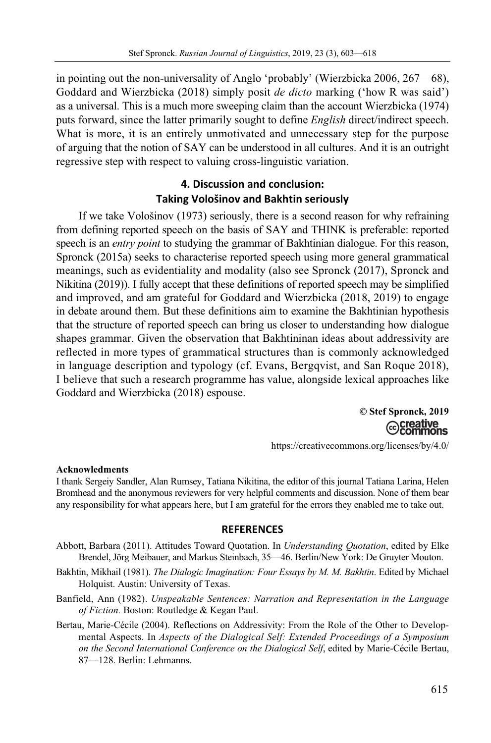in pointing out the non-universality of Anglo 'probably' (Wierzbicka 2006, 267—68), Goddard and Wierzbicka (2018) simply posit *de dicto* marking ('how R was said') as a universal. This is a much more sweeping claim than the account Wierzbicka (1974) puts forward, since the latter primarily sought to define *English* direct/indirect speech. What is more, it is an entirely unmotivated and unnecessary step for the purpose of arguing that the notion of SAY can be understood in all cultures. And it is an outright regressive step with respect to valuing cross-linguistic variation.

### **4. Discussion and conclusion: Taking Vološinov and Bakhtin seriously**

If we take Vološinov (1973) seriously, there is a second reason for why refraining from defining reported speech on the basis of SAY and THINK is preferable: reported speech is an *entry point* to studying the grammar of Bakhtinian dialogue. For this reason, Spronck (2015a) seeks to characterise reported speech using more general grammatical meanings, such as evidentiality and modality (also see Spronck (2017), Spronck and Nikitina (2019)). I fully accept that these definitions of reported speech may be simplified and improved, and am grateful for Goddard and Wierzbicka (2018, 2019) to engage in debate around them. But these definitions aim to examine the Bakhtinian hypothesis that the structure of reported speech can bring us closer to understanding how dialogue shapes grammar. Given the observation that Bakhtininan ideas about addressivity are reflected in more types of grammatical structures than is commonly acknowledged in language description and typology (cf. Evans, Bergqvist, and San Roque 2018), I believe that such a research programme has value, alongside lexical approaches like Goddard and Wierzbicka (2018) espouse.

**© Stef Spronck, 2019** 

https://creativecommons.org/licenses/by/4.0/

#### **Acknowledments**

I thank Sergeiy Sandler, Alan Rumsey, Tatiana Nikitina, the editor of this journal Tatiana Larinа, Helen Bromhead and the anonymous reviewers for very helpful comments and discussion. None of them bear any responsibility for what appears here, but I am grateful for the errors they enabled me to take out.

#### **REFERENCES**

- Abbott, Barbara (2011). Attitudes Toward Quotation. In *Understanding Quotation*, edited by Elke Brendel, Jörg Meibauer, and Markus Steinbach, 35—46. Berlin/New York: De Gruyter Mouton.
- Bakhtin, Mikhail (1981). *The Dialogic Imagination: Four Essays by M. M. Bakhtin*. Edited by Michael Holquist. Austin: University of Texas.
- Banfield, Ann (1982). *Unspeakable Sentences: Narration and Representation in the Language of Fiction.* Boston: Routledge & Kegan Paul.
- Bertau, Marie-Cécile (2004). Reflections on Addressivity: From the Role of the Other to Developmental Aspects. In *Aspects of the Dialogical Self: Extended Proceedings of a Symposium on the Second International Conference on the Dialogical Self*, edited by Marie-Cécile Bertau, 87—128. Berlin: Lehmanns.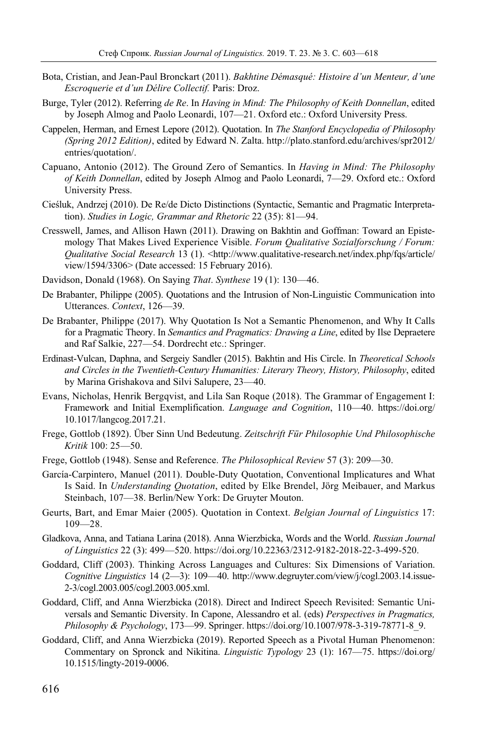- Bota, Cristian, and Jean-Paul Bronckart (2011). *Bakhtine Démasqué: Histoire d'un Menteur, d'une Escroquerie et d'un Délire Collectif.* Paris: Droz.
- Burge, Tyler (2012). Referring *de Re*. In *Having in Mind: The Philosophy of Keith Donnellan*, edited by Joseph Almog and Paolo Leonardi, 107—21. Oxford etc.: Oxford University Press.
- Cappelen, Herman, and Ernest Lepore (2012). Quotation. In *The Stanford Encyclopedia of Philosophy (Spring 2012 Edition)*, edited by Edward N. Zalta. http://plato.stanford.edu/archives/spr2012/ entries/quotation/.
- Capuano, Antonio (2012). The Ground Zero of Semantics. In *Having in Mind: The Philosophy of Keith Donnellan*, edited by Joseph Almog and Paolo Leonardi, 7—29. Oxford etc.: Oxford University Press.
- Cieśluk, Andrzej (2010). De Re/de Dicto Distinctions (Syntactic, Semantic and Pragmatic Interpretation). *Studies in Logic, Grammar and Rhetoric* 22 (35): 81—94.
- Cresswell, James, and Allison Hawn (2011). Drawing on Bakhtin and Goffman: Toward an Epistemology That Makes Lived Experience Visible. *Forum Qualitative Sozialforschung / Forum: Qualitative Social Research* 13 (1). <http://www.qualitative-research.net/index.php/fqs/article/ view/1594/3306> (Date accessed: 15 February 2016).
- Davidson, Donald (1968). On Saying *That*. *Synthese* 19 (1): 130—46.
- De Brabanter, Philippe (2005). Quotations and the Intrusion of Non-Linguistic Communication into Utterances. *Context*, 126—39.
- De Brabanter, Philippe (2017). Why Quotation Is Not a Semantic Phenomenon, and Why It Calls for a Pragmatic Theory. In *Semantics and Pragmatics: Drawing a Line*, edited by Ilse Depraetere and Raf Salkie, 227—54. Dordrecht etc.: Springer.
- Erdinast-Vulcan, Daphna, and Sergeiy Sandler (2015). Bakhtin and His Circle. In *Theoretical Schools and Circles in the Twentieth-Century Humanities: Literary Theory, History, Philosophy*, edited by Marina Grishakova and Silvi Salupere, 23—40.
- Evans, Nicholas, Henrik Bergqvist, and Lila San Roque (2018). The Grammar of Engagement I: Framework and Initial Exemplification. *Language and Cognition*, 110—40. https://doi.org/ 10.1017/langcog.2017.21.
- Frege, Gottlob (1892). Über Sinn Und Bedeutung. *Zeitschrift Für Philosophie Und Philosophische Kritik* 100: 25—50.
- Frege, Gottlob (1948). Sense and Reference. *The Philosophical Review* 57 (3): 209—30.
- García-Carpintero, Manuel (2011). Double-Duty Quotation, Conventional Implicatures and What Is Said. In *Understanding Quotation*, edited by Elke Brendel, Jörg Meibauer, and Markus Steinbach, 107—38. Berlin/New York: De Gruyter Mouton.
- Geurts, Bart, and Emar Maier (2005). Quotation in Context. *Belgian Journal of Linguistics* 17: 109—28.
- Gladkova, Anna, and Tatiana Larina (2018). Anna Wierzbicka, Words and the World. *Russian Journal of Linguistics* 22 (3): 499—520. https://doi.org/10.22363/2312-9182-2018-22-3-499-520.
- Goddard, Cliff (2003). Thinking Across Languages and Cultures: Six Dimensions of Variation. *Cognitive Linguistics* 14 (2—3): 109—40. http://www.degruyter.com/view/j/cogl.2003.14.issue-2-3/cogl.2003.005/cogl.2003.005.xml.
- Goddard, Cliff, and Anna Wierzbicka (2018). Direct and Indirect Speech Revisited: Semantic Universals and Semantic Diversity. In Capone, Alessandro et al. (eds) *Perspectives in Pragmatics, Philosophy & Psychology*, 173—99. Springer. https://doi.org/10.1007/978-3-319-78771-8\_9.
- Goddard, Cliff, and Anna Wierzbicka (2019). Reported Speech as a Pivotal Human Phenomenon: Commentary on Spronck and Nikitina. *Linguistic Typology* 23 (1): 167—75. https://doi.org/ 10.1515/lingty-2019-0006.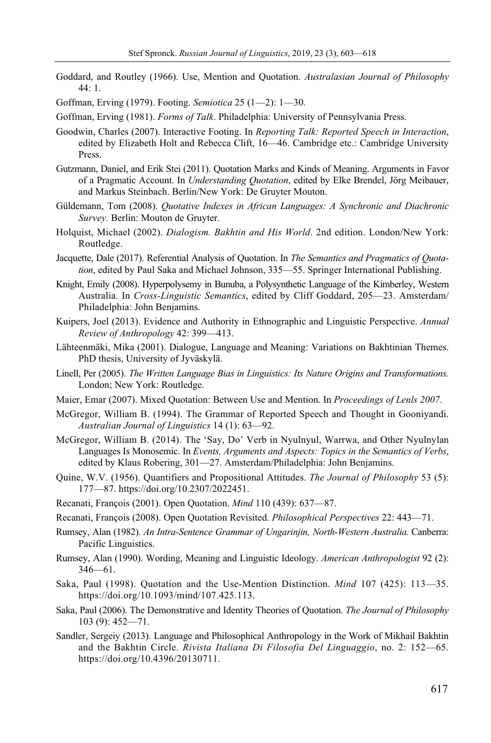Goddard, and Routley (1966). Use, Mention and Quotation. *Australasian Journal of Philosophy* 44: 1.

Goffman, Erving (1979). Footing. *Semiotica* 25 (1—2): 1—30.

Goffman, Erving (1981). *Forms of Talk*. Philadelphia: University of Pennsylvania Press.

- Goodwin, Charles (2007). Interactive Footing. In *Reporting Talk: Reported Speech in Interaction*, edited by Elizabeth Holt and Rebecca Clift, 16—46. Cambridge etc.: Cambridge University Press.
- Gutzmann, Daniel, and Erik Stei (2011). Quotation Marks and Kinds of Meaning. Arguments in Favor of a Pragmatic Account. In *Understanding Quotation*, edited by Elke Brendel, Jörg Meibauer, and Markus Steinbach. Berlin/New York: De Gruyter Mouton.
- Güldemann, Tom (2008). *Quotative Indexes in African Languages: A Synchronic and Diachronic Survey.* Berlin: Mouton de Gruyter.
- Holquist, Michael (2002). *Dialogism. Bakhtin and His World*. 2nd edition. London/New York: Routledge.
- Jacquette, Dale (2017). Referential Analysis of Quotation. In *The Semantics and Pragmatics of Quotation*, edited by Paul Saka and Michael Johnson, 335—55. Springer International Publishing.
- Knight, Emily (2008). Hyperpolysemy in Bunuba, a Polysynthetic Language of the Kimberley, Western Australia. In *Cross-Linguistic Semantics*, edited by Cliff Goddard, 205—23. Amsterdam/ Philadelphia: John Benjamins.
- Kuipers, Joel (2013). Evidence and Authority in Ethnographic and Linguistic Perspective. *Annual Review of Anthropology* 42: 399—413.
- Lähteenmäki, Mika (2001). Dialogue, Language and Meaning: Variations on Bakhtinian Themes. PhD thesis, University of Jyväskylä.
- Linell, Per (2005). *The Written Language Bias in Linguistics: Its Nature Origins and Transformations.* London; New York: Routledge.
- Maier, Emar (2007). Mixed Quotation: Between Use and Mention. In *Proceedings of Lenls 2007*.
- McGregor, William B. (1994). The Grammar of Reported Speech and Thought in Gooniyandi. *Australian Journal of Linguistics* 14 (1): 63—92.
- McGregor, William B. (2014). The 'Say, Do' Verb in Nyulnyul, Warrwa, and Other Nyulnylan Languages Is Monosemic. In *Events, Arguments and Aspects: Topics in the Semantics of Verbs*, edited by Klaus Robering, 301—27. Amsterdam/Philadelphia: John Benjamins.
- Quine, W.V. (1956). Quantifiers and Propositional Attitudes. *The Journal of Philosophy* 53 (5): 177—87. https://doi.org/10.2307/2022451.
- Recanati, François (2001). Open Quotation. *Mind* 110 (439): 637—87.
- Recanati, François (2008). Open Quotation Revisited. *Philosophical Perspectives* 22: 443—71.
- Rumsey, Alan (1982). *An Intra-Sentence Grammar of Ungarinjin, North-Western Australia.* Canberra: Pacific Linguistics.
- Rumsey, Alan (1990). Wording, Meaning and Linguistic Ideology. *American Anthropologist* 92 (2): 346—61.
- Saka, Paul (1998). Quotation and the Use-Mention Distinction. *Mind* 107 (425): 113—35. https://doi.org/10.1093/mind/107.425.113.
- Saka, Paul (2006). The Demonstrative and Identity Theories of Quotation. *The Journal of Philosophy* 103 (9): 452—71.
- Sandler, Sergeiy (2013). Language and Philosophical Anthropology in the Work of Mikhail Bakhtin and the Bakhtin Circle. *Rivista Italiana Di Filosofia Del Linguaggio*, no. 2: 152—65. https://doi.org/10.4396/20130711.